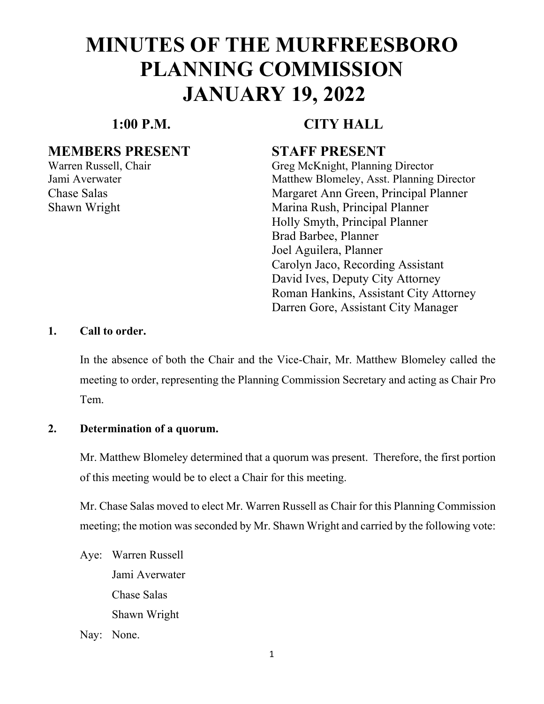### **1:00 P.M. CITY HALL**

### **MEMBERS PRESENT STAFF PRESENT**

Warren Russell, Chair Greg McKnight, Planning Director Jami Averwater Matthew Blomeley, Asst. Planning Director Chase Salas Margaret Ann Green, Principal Planner Shawn Wright Marina Rush, Principal Planner Holly Smyth, Principal Planner Brad Barbee, Planner Joel Aguilera, Planner Carolyn Jaco, Recording Assistant David Ives, Deputy City Attorney Roman Hankins, Assistant City Attorney Darren Gore, Assistant City Manager

#### **1. Call to order.**

In the absence of both the Chair and the Vice-Chair, Mr. Matthew Blomeley called the meeting to order, representing the Planning Commission Secretary and acting as Chair Pro Tem.

#### **2. Determination of a quorum.**

Mr. Matthew Blomeley determined that a quorum was present. Therefore, the first portion of this meeting would be to elect a Chair for this meeting.

Mr. Chase Salas moved to elect Mr. Warren Russell as Chair for this Planning Commission meeting; the motion was seconded by Mr. Shawn Wright and carried by the following vote:

Aye: Warren Russell Jami Averwater Chase Salas Shawn Wright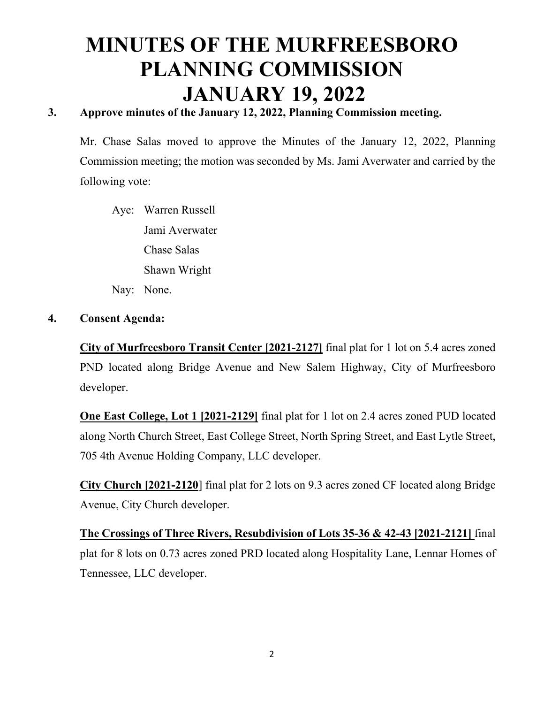### **3. Approve minutes of the January 12, 2022, Planning Commission meeting.**

Mr. Chase Salas moved to approve the Minutes of the January 12, 2022, Planning Commission meeting; the motion was seconded by Ms. Jami Averwater and carried by the following vote:

 Aye: Warren Russell Jami Averwater Chase Salas Shawn Wright Nay: None.

#### **4. Consent Agenda:**

**City of Murfreesboro Transit Center [2021-2127]** final plat for 1 lot on 5.4 acres zoned PND located along Bridge Avenue and New Salem Highway, City of Murfreesboro developer.

**One East College, Lot 1 [2021-2129]** final plat for 1 lot on 2.4 acres zoned PUD located along North Church Street, East College Street, North Spring Street, and East Lytle Street, 705 4th Avenue Holding Company, LLC developer.

**City Church [2021-2120**] final plat for 2 lots on 9.3 acres zoned CF located along Bridge Avenue, City Church developer.

**The Crossings of Three Rivers, Resubdivision of Lots 35-36 & 42-43 [2021-2121]** final plat for 8 lots on 0.73 acres zoned PRD located along Hospitality Lane, Lennar Homes of Tennessee, LLC developer.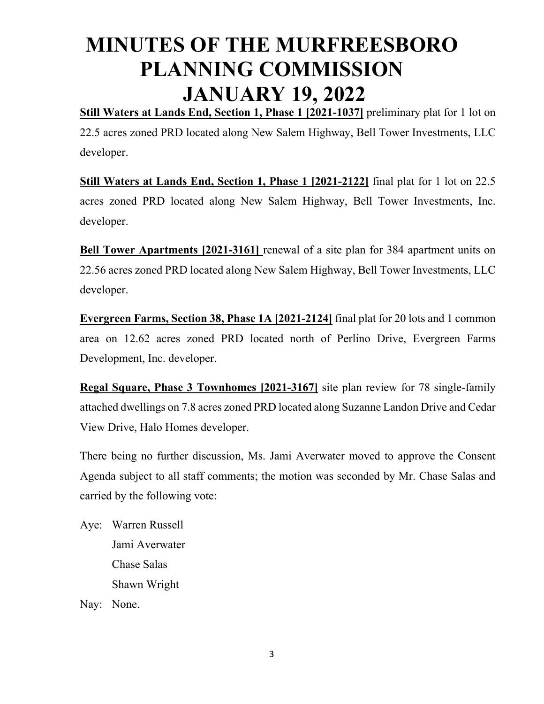**Still Waters at Lands End, Section 1, Phase 1 [2021-1037]** preliminary plat for 1 lot on 22.5 acres zoned PRD located along New Salem Highway, Bell Tower Investments, LLC developer.

**Still Waters at Lands End, Section 1, Phase 1 [2021-2122]** final plat for 1 lot on 22.5 acres zoned PRD located along New Salem Highway, Bell Tower Investments, Inc. developer.

**Bell Tower Apartments [2021-3161]** renewal of a site plan for 384 apartment units on 22.56 acres zoned PRD located along New Salem Highway, Bell Tower Investments, LLC developer.

**Evergreen Farms, Section 38, Phase 1A [2021-2124]** final plat for 20 lots and 1 common area on 12.62 acres zoned PRD located north of Perlino Drive, Evergreen Farms Development, Inc. developer.

**Regal Square, Phase 3 Townhomes [2021-3167]** site plan review for 78 single-family attached dwellings on 7.8 acres zoned PRD located along Suzanne Landon Drive and Cedar View Drive, Halo Homes developer.

There being no further discussion, Ms. Jami Averwater moved to approve the Consent Agenda subject to all staff comments; the motion was seconded by Mr. Chase Salas and carried by the following vote:

Aye: Warren Russell Jami Averwater Chase Salas Shawn Wright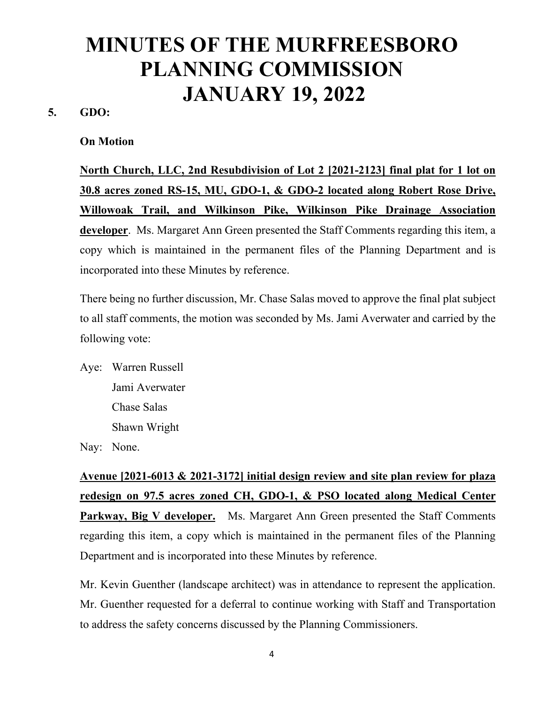#### **5. GDO:**

#### **On Motion**

**North Church, LLC, 2nd Resubdivision of Lot 2 [2021-2123] final plat for 1 lot on 30.8 acres zoned RS-15, MU, GDO-1, & GDO-2 located along Robert Rose Drive, Willowoak Trail, and Wilkinson Pike, Wilkinson Pike Drainage Association developer**. Ms. Margaret Ann Green presented the Staff Comments regarding this item, a copy which is maintained in the permanent files of the Planning Department and is incorporated into these Minutes by reference.

There being no further discussion, Mr. Chase Salas moved to approve the final plat subject to all staff comments, the motion was seconded by Ms. Jami Averwater and carried by the following vote:

Aye: Warren Russell Jami Averwater Chase Salas Shawn Wright

Nay: None.

**Avenue [2021-6013 & 2021-3172] initial design review and site plan review for plaza redesign on 97.5 acres zoned CH, GDO-1, & PSO located along Medical Center**  Parkway, Big V developer. Ms. Margaret Ann Green presented the Staff Comments regarding this item, a copy which is maintained in the permanent files of the Planning Department and is incorporated into these Minutes by reference.

Mr. Kevin Guenther (landscape architect) was in attendance to represent the application. Mr. Guenther requested for a deferral to continue working with Staff and Transportation to address the safety concerns discussed by the Planning Commissioners.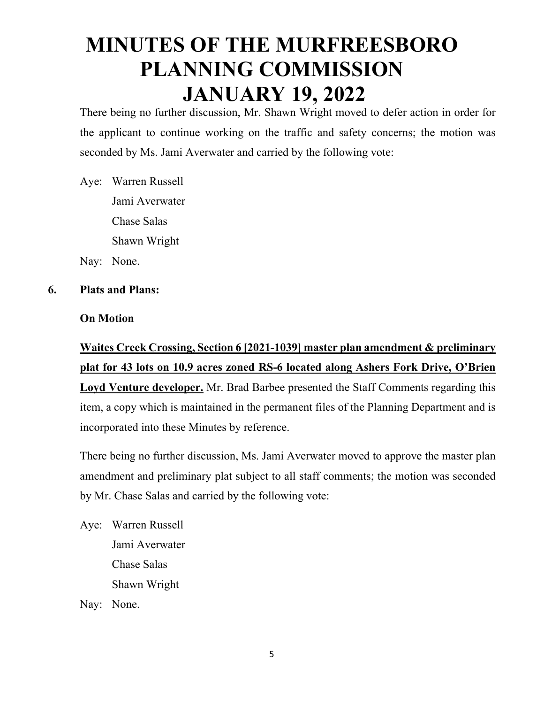There being no further discussion, Mr. Shawn Wright moved to defer action in order for the applicant to continue working on the traffic and safety concerns; the motion was seconded by Ms. Jami Averwater and carried by the following vote:

Aye: Warren Russell Jami Averwater Chase Salas Shawn Wright

Nay: None.

### **6. Plats and Plans:**

### **On Motion**

**Waites Creek Crossing, Section 6 [2021-1039] master plan amendment & preliminary plat for 43 lots on 10.9 acres zoned RS-6 located along Ashers Fork Drive, O'Brien Loyd Venture developer.** Mr. Brad Barbee presented the Staff Comments regarding this item, a copy which is maintained in the permanent files of the Planning Department and is incorporated into these Minutes by reference.

There being no further discussion, Ms. Jami Averwater moved to approve the master plan amendment and preliminary plat subject to all staff comments; the motion was seconded by Mr. Chase Salas and carried by the following vote:

Aye: Warren Russell Jami Averwater Chase Salas Shawn Wright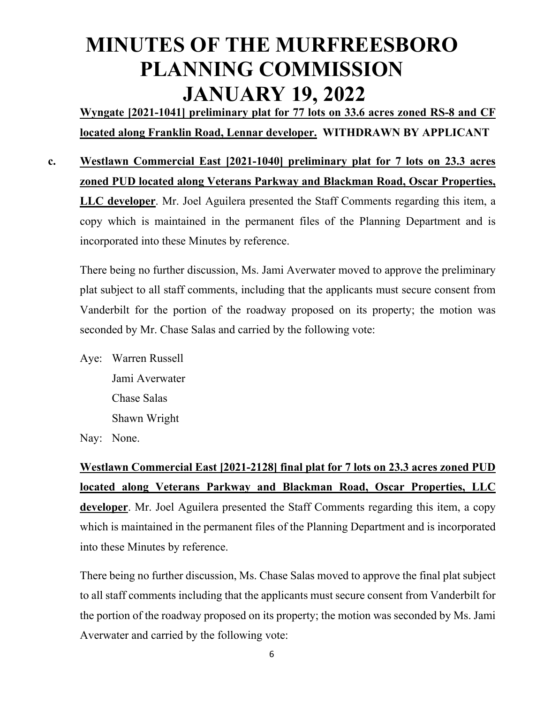**Wyngate [2021-1041] preliminary plat for 77 lots on 33.6 acres zoned RS-8 and CF located along Franklin Road, Lennar developer. WITHDRAWN BY APPLICANT** 

**c. Westlawn Commercial East [2021-1040] preliminary plat for 7 lots on 23.3 acres zoned PUD located along Veterans Parkway and Blackman Road, Oscar Properties, LLC developer**. Mr. Joel Aguilera presented the Staff Comments regarding this item, a copy which is maintained in the permanent files of the Planning Department and is incorporated into these Minutes by reference.

There being no further discussion, Ms. Jami Averwater moved to approve the preliminary plat subject to all staff comments, including that the applicants must secure consent from Vanderbilt for the portion of the roadway proposed on its property; the motion was seconded by Mr. Chase Salas and carried by the following vote:

Aye: Warren Russell Jami Averwater Chase Salas Shawn Wright

Nay: None.

 **Westlawn Commercial East [2021-2128] final plat for 7 lots on 23.3 acres zoned PUD located along Veterans Parkway and Blackman Road, Oscar Properties, LLC developer**. Mr. Joel Aguilera presented the Staff Comments regarding this item, a copy which is maintained in the permanent files of the Planning Department and is incorporated into these Minutes by reference.

There being no further discussion, Ms. Chase Salas moved to approve the final plat subject to all staff comments including that the applicants must secure consent from Vanderbilt for the portion of the roadway proposed on its property; the motion was seconded by Ms. Jami Averwater and carried by the following vote: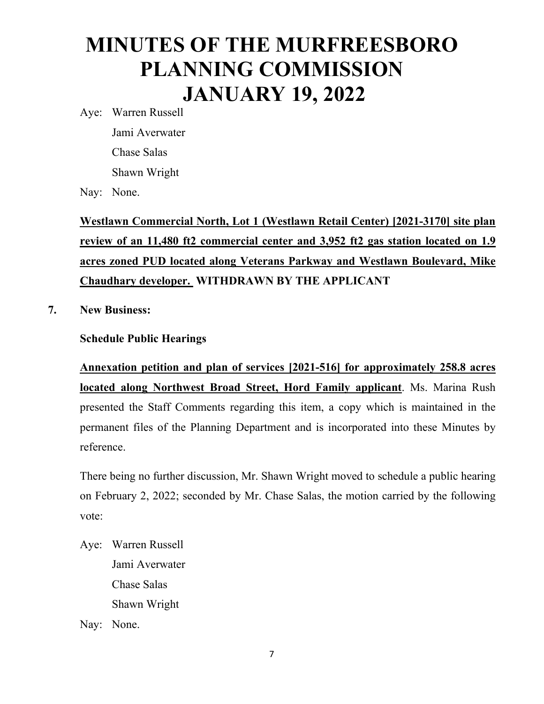Aye: Warren Russell Jami Averwater Chase Salas Shawn Wright

Nay: None.

**Westlawn Commercial North, Lot 1 (Westlawn Retail Center) [2021-3170] site plan review of an 11,480 ft2 commercial center and 3,952 ft2 gas station located on 1.9 acres zoned PUD located along Veterans Parkway and Westlawn Boulevard, Mike Chaudhary developer. WITHDRAWN BY THE APPLICANT** 

**7. New Business:** 

#### **Schedule Public Hearings**

**Annexation petition and plan of services [2021-516] for approximately 258.8 acres located along Northwest Broad Street, Hord Family applicant**. Ms. Marina Rush presented the Staff Comments regarding this item, a copy which is maintained in the permanent files of the Planning Department and is incorporated into these Minutes by reference.

There being no further discussion, Mr. Shawn Wright moved to schedule a public hearing on February 2, 2022; seconded by Mr. Chase Salas, the motion carried by the following vote:

Aye: Warren Russell Jami Averwater Chase Salas Shawn Wright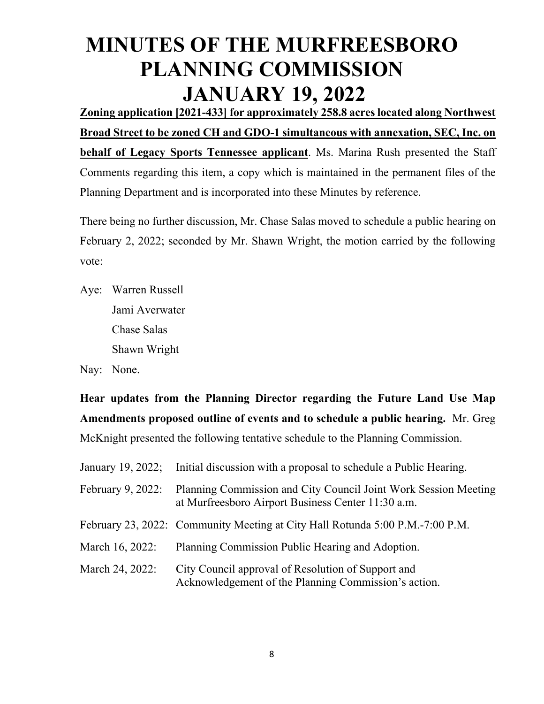**Zoning application [2021-433] for approximately 258.8 acres located along Northwest Broad Street to be zoned CH and GDO-1 simultaneous with annexation, SEC, Inc. on behalf of Legacy Sports Tennessee applicant**. Ms. Marina Rush presented the Staff Comments regarding this item, a copy which is maintained in the permanent files of the Planning Department and is incorporated into these Minutes by reference.

There being no further discussion, Mr. Chase Salas moved to schedule a public hearing on February 2, 2022; seconded by Mr. Shawn Wright, the motion carried by the following vote:

Aye: Warren Russell Jami Averwater Chase Salas Shawn Wright

Nay: None.

**Hear updates from the Planning Director regarding the Future Land Use Map Amendments proposed outline of events and to schedule a public hearing.** Mr. Greg McKnight presented the following tentative schedule to the Planning Commission.

| January 19, 2022; | Initial discussion with a proposal to schedule a Public Hearing.                                                      |
|-------------------|-----------------------------------------------------------------------------------------------------------------------|
| February 9, 2022: | Planning Commission and City Council Joint Work Session Meeting<br>at Murfreesboro Airport Business Center 11:30 a.m. |
|                   | February 23, 2022: Community Meeting at City Hall Rotunda 5:00 P.M.-7:00 P.M.                                         |
| March 16, 2022:   | Planning Commission Public Hearing and Adoption.                                                                      |
| March 24, 2022:   | City Council approval of Resolution of Support and<br>Acknowledgement of the Planning Commission's action.            |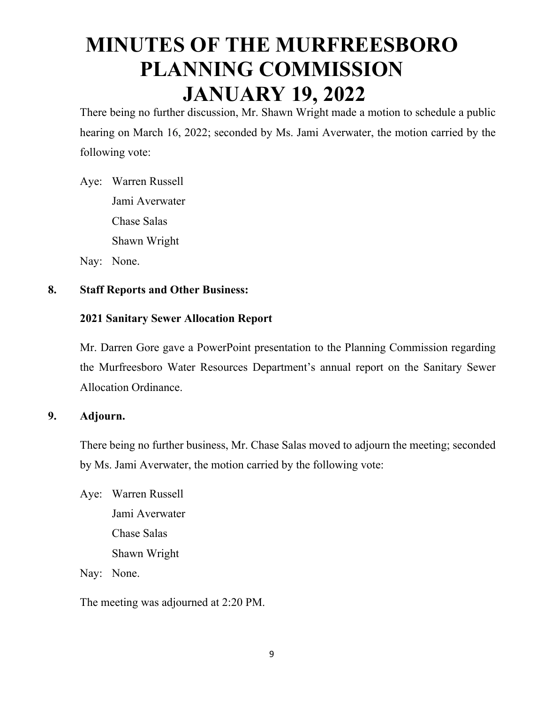There being no further discussion, Mr. Shawn Wright made a motion to schedule a public hearing on March 16, 2022; seconded by Ms. Jami Averwater, the motion carried by the following vote:

Aye: Warren Russell Jami Averwater Chase Salas Shawn Wright

Nay: None.

### **8. Staff Reports and Other Business:**

### **2021 Sanitary Sewer Allocation Report**

Mr. Darren Gore gave a PowerPoint presentation to the Planning Commission regarding the Murfreesboro Water Resources Department's annual report on the Sanitary Sewer Allocation Ordinance.

### **9. Adjourn.**

There being no further business, Mr. Chase Salas moved to adjourn the meeting; seconded by Ms. Jami Averwater, the motion carried by the following vote:

Aye: Warren Russell Jami Averwater Chase Salas Shawn Wright

Nay: None.

The meeting was adjourned at 2:20 PM.